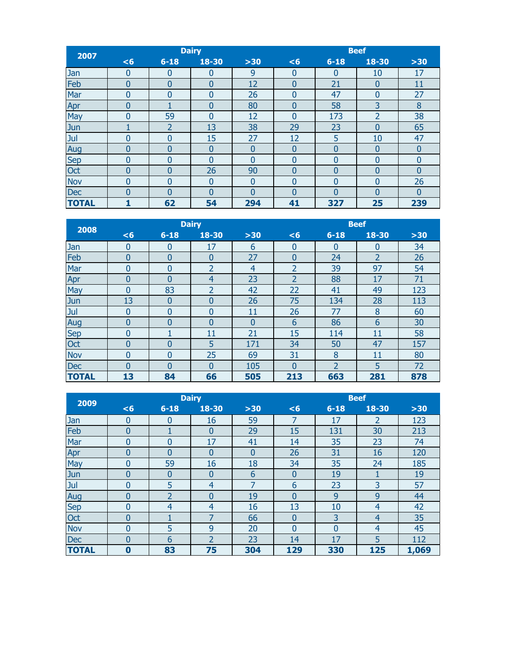| 2007         |                |                | <b>Dairy</b> |              |                |             | <b>Beef</b>    |                |
|--------------|----------------|----------------|--------------|--------------|----------------|-------------|----------------|----------------|
|              | <6             | $6 - 18$       | 18-30        | $>30$        | <6             | $6 - 18$    | 18-30          | $>30$          |
| Jan          | $\overline{0}$ | 0              | 0            | 9            | $\mathbf{0}$   | $\mathbf 0$ | 10             | 17             |
| Feb          | $\bf{0}$       | 0              | 0            | 12           | 0              | 21          | $\bf{0}$       | 11             |
| Mar          | 0              | 0              | $\Omega$     | 26           | $\overline{0}$ | 47          | $\overline{0}$ | 27             |
| Apr          | 0              |                | $\Omega$     | 80           | $\overline{0}$ | 58          | 3              | 8              |
| May          | 0              | 59             | $\Omega$     | 12           | $\Omega$       | 173         | 2              | 38             |
| Jun          |                | $\overline{2}$ | 13           | 38           | 29             | 23          | 0              | 65             |
| Jul          | 0              | 0              | 15           | 27           | 12             | 5           | 10             | 47             |
| Aug          | 0              | 0              | 0            | $\Omega$     | $\Omega$       | 0           | $\bf{0}$       | $\overline{0}$ |
| Sep          | $\mathbf{0}$   | 0              | $\Omega$     | $\Omega$     | $\Omega$       | 0           | $\overline{0}$ | $\Omega$       |
| Oct          | $\overline{0}$ | 0              | 26           | 90           | 0              | 0           | $\overline{0}$ | 0              |
| <b>Nov</b>   | $\mathbf{0}$   | 0              | $\mathbf{0}$ | $\mathbf{0}$ | $\Omega$       | 0           | $\overline{0}$ | 26             |
| <b>Dec</b>   | $\overline{0}$ | 0              | 0            | $\Omega$     | $\Omega$       | $\Omega$    | $\Omega$       | $\Omega$       |
| <b>TOTAL</b> | 1              | 62             | 54           | 294          | 41             | 327         | 25             | 239            |

| 2008         |                |                | <b>Dairy</b>   |                | <b>Beef</b><br>$6 - 18$<br>18-30<br>$>30$<br><6<br>34<br>$\Omega$<br>0<br>$\Omega$<br>$\overline{2}$<br>26<br>24<br>$\Omega$<br>$\overline{2}$<br>39<br>97<br>54<br>71<br>$\overline{2}$<br>88<br>17<br>22<br>49<br>123<br>41<br>75<br>134<br>28<br>113 |                |     |     |
|--------------|----------------|----------------|----------------|----------------|---------------------------------------------------------------------------------------------------------------------------------------------------------------------------------------------------------------------------------------------------------|----------------|-----|-----|
|              | <6             | $6 - 18$       | 18-30          | $>30$          |                                                                                                                                                                                                                                                         |                |     |     |
| Jan          | 0              | 0              | 17             | 6              |                                                                                                                                                                                                                                                         |                |     |     |
| Feb          | $\bf{0}$       | $\overline{0}$ | $\overline{0}$ | 27             |                                                                                                                                                                                                                                                         |                |     |     |
| Mar          | 0              | 0              | $\overline{2}$ | $\overline{4}$ |                                                                                                                                                                                                                                                         |                |     |     |
| Apr          | 0              | 0              | 4              | 23             |                                                                                                                                                                                                                                                         |                |     |     |
| May          | 0              | 83             | $\overline{2}$ | 42             |                                                                                                                                                                                                                                                         |                |     |     |
| Jun          | 13             | 0              | 0              | 26             |                                                                                                                                                                                                                                                         |                |     |     |
| Jul          | $\bf{0}$       | 0              | $\Omega$       | 11             | 26                                                                                                                                                                                                                                                      | 77             | 8   | 60  |
| Aug          | 0              | 0              | 0              | $\overline{0}$ | 6                                                                                                                                                                                                                                                       | 86             | 6   | 30  |
| <b>Sep</b>   | $\overline{0}$ |                | 11             | 21             | 15                                                                                                                                                                                                                                                      | 114            | 11  | 58  |
| Oct          | $\overline{0}$ | 0              | 5              | 171            | 34                                                                                                                                                                                                                                                      | 50             | 47  | 157 |
| <b>Nov</b>   | 0              | 0              | 25             | 69             | 31                                                                                                                                                                                                                                                      | 8              | 11  | 80  |
| <b>Dec</b>   | $\Omega$       | 0              | $\Omega$       | 105            | $\Omega$                                                                                                                                                                                                                                                | $\overline{2}$ | 5   | 72  |
| <b>TOTAL</b> | 13             | 84             | 66             | 505            | 213                                                                                                                                                                                                                                                     | 663            | 281 | 878 |

| 2009         |                |                  | <b>Dairy</b>   |                | <b>Beef</b><br>18-30<br>$6 - 18$<br>$>30$<br><6<br>17<br>$\overline{2}$<br>123<br>7<br>15<br>131<br>213<br>30<br>23<br>74<br>14<br>35<br>26<br>31<br>120<br>16<br>34<br>35<br>24<br>185<br>19<br>19<br>$\bf{0}$<br>3<br>6<br>23<br>57<br>9<br>9<br>$\overline{0}$<br>44<br>13<br>42<br>10<br>4 |                |                |       |  |  |  |
|--------------|----------------|------------------|----------------|----------------|------------------------------------------------------------------------------------------------------------------------------------------------------------------------------------------------------------------------------------------------------------------------------------------------|----------------|----------------|-------|--|--|--|
|              | <6             | $6 - 18$         | 18-30          | $>30$          |                                                                                                                                                                                                                                                                                                |                |                |       |  |  |  |
| Jan          | $\bf{0}$       | $\bf{0}$         | 16             | 59             |                                                                                                                                                                                                                                                                                                |                |                |       |  |  |  |
| Feb          | 0              |                  | $\bf{0}$       | 29             |                                                                                                                                                                                                                                                                                                |                |                |       |  |  |  |
| Mar          | $\mathbf{0}$   | $\overline{0}$   | 17             | 41             |                                                                                                                                                                                                                                                                                                |                |                |       |  |  |  |
| Apr          | 0              | $\overline{0}$   | 0              | $\overline{0}$ |                                                                                                                                                                                                                                                                                                |                |                |       |  |  |  |
| May          | $\mathbf{0}$   | 59               | 16             | 18             |                                                                                                                                                                                                                                                                                                |                |                |       |  |  |  |
| Jun          | 0              | $\boldsymbol{0}$ | 0              | 6              |                                                                                                                                                                                                                                                                                                |                |                |       |  |  |  |
| Jul          | $\overline{0}$ | 5                | 4              | 7              |                                                                                                                                                                                                                                                                                                |                |                |       |  |  |  |
| Aug          | $\mathbf{0}$   | 2                | $\Omega$       | 19             |                                                                                                                                                                                                                                                                                                |                |                |       |  |  |  |
| <b>Sep</b>   | $\overline{0}$ | $\overline{4}$   | 4              | 16             |                                                                                                                                                                                                                                                                                                |                |                |       |  |  |  |
| Oct          | $\bf{0}$       |                  | ⇁              | 66             | $\boldsymbol{0}$                                                                                                                                                                                                                                                                               | 3              | $\overline{4}$ | 35    |  |  |  |
| <b>Nov</b>   | $\mathbf{0}$   | 5                | 9              | 20             | $\overline{0}$                                                                                                                                                                                                                                                                                 | $\overline{0}$ | 4              | 45    |  |  |  |
| Dec          | 0              | 6                | $\overline{2}$ | 23             | 14                                                                                                                                                                                                                                                                                             | 17             | 5              | 112   |  |  |  |
| <b>TOTAL</b> | $\bf{0}$       | 83               | 75             | 304            | 129                                                                                                                                                                                                                                                                                            | 330            | 125            | 1,069 |  |  |  |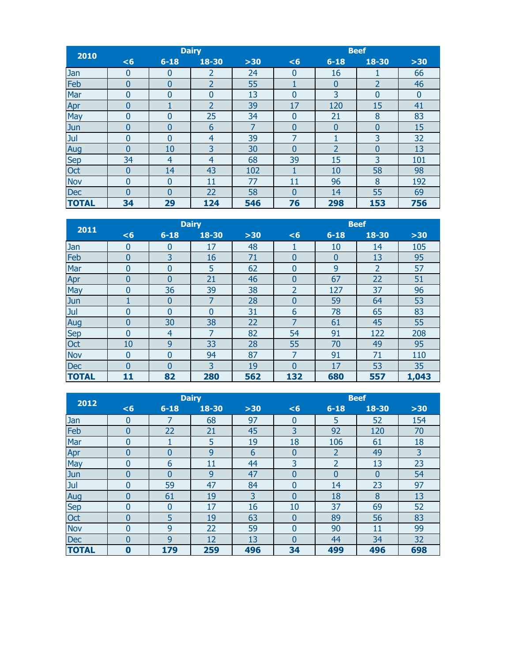| 2010         |                |                | <b>Dairy</b>   |       |                |          | <b>Beef</b>    |          |
|--------------|----------------|----------------|----------------|-------|----------------|----------|----------------|----------|
|              | <6             | $6 - 18$       | 18-30          | $>30$ | <6             | $6 - 18$ | 18-30          | $>30$    |
| Jan          | $\bf{0}$       | $\bf{0}$       | $\overline{2}$ | 24    | $\Omega$       | 16       |                | 66       |
| Feb          | $\mathbf{0}$   | $\overline{0}$ | 2              | 55    |                | $\bf{0}$ | $\overline{2}$ | 46       |
| Mar          | $\overline{0}$ | $\Omega$       | $\Omega$       | 13    | $\Omega$       | 3        | $\overline{0}$ | $\Omega$ |
| Apr          | $\bf{0}$       |                | $\overline{2}$ | 39    | 17             | 120      | 15             | 41       |
| May          | 0              | $\overline{0}$ | 25             | 34    | $\mathbf{0}$   | 21       | 8              | 83       |
| Jun          | $\bf{0}$       | $\overline{0}$ | 6              | 7     | $\overline{0}$ | 0        | $\bf{0}$       | 15       |
| Jul          | 0              | $\overline{0}$ | 4              | 39    | 7              | 1        | 3              | 32       |
| Aug          | $\bf{0}$       | 10             | 3              | 30    | 0              | 2        | $\bf{0}$       | 13       |
| Sep          | 34             | $\overline{4}$ | 4              | 68    | 39             | 15       | 3              | 101      |
| Oct          | $\bf{0}$       | 14             | 43             | 102   |                | 10       | 58             | 98       |
| <b>Nov</b>   | $\mathbf{0}$   | $\overline{0}$ | 11             | 77    | 11             | 96       | 8              | 192      |
| <b>Dec</b>   | $\overline{0}$ | $\Omega$       | 22             | 58    | $\Omega$       | 14       | 55             | 69       |
| <b>TOTAL</b> | 34             | 29             | 124            | 546   | 76             | 298      | 153            | 756      |

| 2011         |                |                | <b>Dairy</b> |       |                |          | <b>Beef</b>    |       |
|--------------|----------------|----------------|--------------|-------|----------------|----------|----------------|-------|
|              | < 6            | $6 - 18$       | 18-30        | $>30$ | <6             | $6 - 18$ | 18-30          | $>30$ |
| Jan          | 0              | 0              | 17           | 48    |                | 10       | 14             | 105   |
| Feb          | $\bf{0}$       | 3              | 16           | 71    | $\mathbf{0}$   | $\bf{0}$ | 13             | 95    |
| Mar          | 0              | $\Omega$       | 5            | 62    | $\Omega$       | 9        | $\overline{2}$ | 57    |
| Apr          | 0              | 0              | 21           | 46    | $\overline{0}$ | 67       | 22             | 51    |
| May          | 0              | 36             | 39           | 38    | $\overline{2}$ | 127      | 37             | 96    |
| Jun          |                | $\bf{0}$       | 7            | 28    | $\bf{0}$       | 59       | 64             | 53    |
| Jul          | 0              | $\Omega$       | $\Omega$     | 31    | 6              | 78       | 65             | 83    |
| Aug          | 0              | 30             | 38           | 22    | ᄀ              | 61       | 45             | 55    |
| <b>Sep</b>   | $\overline{0}$ | $\overline{4}$ | 7            | 82    | 54             | 91       | 122            | 208   |
| Oct          | 10             | 9              | 33           | 28    | 55             | 70       | 49             | 95    |
| <b>Nov</b>   | $\overline{0}$ | $\overline{0}$ | 94           | 87    | $\overline{7}$ | 91       | 71             | 110   |
| <b>Dec</b>   | $\Omega$       | 0              | 3            | 19    | $\Omega$       | 17       | 53             | 35    |
| <b>TOTAL</b> | 11             | 82             | 280          | 562   | 132            | 680      | 557            | 1,043 |

| 2012         |                |                | <b>Dairy</b> |       | <b>Beef</b>    |                |              |       |
|--------------|----------------|----------------|--------------|-------|----------------|----------------|--------------|-------|
|              | <6             | $6 - 18$       | $18 - 30$    | $>30$ | <6             | $6 - 18$       | $18 - 30$    | $>30$ |
| Jan          | $\bf{0}$       | 7              | 68           | 97    | $\bf{0}$       | 5              | 52           | 154   |
| Feb          | 0              | 22             | 21           | 45    | 3              | 92             | 120          | 70    |
| Mar          | $\mathbf{0}$   |                | 5            | 19    | 18             | 106            | 61           | 18    |
| Apr          | 0              | $\bf{0}$       | 9            | 6     | $\bf{0}$       | 2              | 49           | 3     |
| May          | $\mathbf{0}$   | 6              | 11           | 44    | 3              | $\overline{2}$ | 13           | 23    |
| Jun          | $\bf{0}$       | $\overline{0}$ | 9            | 47    | 0              | $\bf{0}$       | $\mathbf{0}$ | 54    |
| Jul          | $\overline{0}$ | 59             | 47           | 84    | $\overline{0}$ | 14             | 23           | 97    |
| Aug          | $\mathbf{0}$   | 61             | 19           | 3     | $\overline{0}$ | 18             | 8            | 13    |
| <b>Sep</b>   | $\mathbf{0}$   | $\overline{0}$ | 17           | 16    | 10             | 37             | 69           | 52    |
| Oct          | $\bf{0}$       | 5              | 19           | 63    | $\overline{0}$ | 89             | 56           | 83    |
| <b>Nov</b>   | $\mathbf{0}$   | 9              | 22           | 59    | $\overline{0}$ | 90             | 11           | 99    |
| Dec          | $\mathbf{0}$   | 9              | 12           | 13    | $\Omega$       | 44             | 34           | 32    |
| <b>TOTAL</b> | $\bf{0}$       | 179            | 259          | 496   | 34             | 499            | 496          | 698   |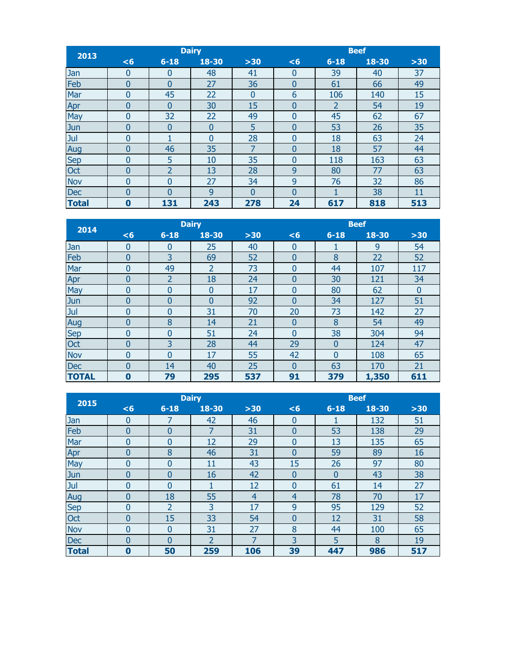| 2013         |                  |                | <b>Dairy</b> |          |    | <b>Beef</b><br>18-30<br>$6 - 18$<br>$>30$<br><6<br>37<br>39<br>40<br>$\Omega$<br>49<br>61<br>66<br>0<br>6<br>106<br>15<br>140<br>19<br>$\overline{2}$<br>54<br>$\overline{0}$<br>45<br>62<br>67<br>$\overline{0}$<br>35<br>26<br>53<br>$\bf{0}$<br>24<br>18<br>63<br>$\Omega$<br>57<br>44<br>18<br>$\overline{0}$<br>63<br>118<br>163<br>$\Omega$<br>80<br>77<br>63<br>9<br>32<br>86<br>9<br>76<br>11<br>$\Omega$<br>1 |     |     |
|--------------|------------------|----------------|--------------|----------|----|------------------------------------------------------------------------------------------------------------------------------------------------------------------------------------------------------------------------------------------------------------------------------------------------------------------------------------------------------------------------------------------------------------------------|-----|-----|
|              | <6               | $6 - 18$       | 18-30        | $>30$    |    |                                                                                                                                                                                                                                                                                                                                                                                                                        |     |     |
| Jan          | $\overline{0}$   | $\bf{0}$       | 48           | 41       |    |                                                                                                                                                                                                                                                                                                                                                                                                                        |     |     |
| Feb          | $\bf{0}$         | $\bf{0}$       | 27           | 36       |    |                                                                                                                                                                                                                                                                                                                                                                                                                        |     |     |
| Mar          | 0                | 45             | 22           | 0        |    |                                                                                                                                                                                                                                                                                                                                                                                                                        |     |     |
| Apr          | $\bf{0}$         | $\overline{0}$ | 30           | 15       |    |                                                                                                                                                                                                                                                                                                                                                                                                                        |     |     |
| May          | 0                | 32             | 22           | 49       |    |                                                                                                                                                                                                                                                                                                                                                                                                                        |     |     |
| Jun          | $\bf{0}$         | $\bf{0}$       | $\bf{0}$     | 5        |    |                                                                                                                                                                                                                                                                                                                                                                                                                        |     |     |
| Jul          | 0                |                | $\Omega$     | 28       |    |                                                                                                                                                                                                                                                                                                                                                                                                                        |     |     |
| Aug          | $\bf{0}$         | 46             | 35           | 7        |    |                                                                                                                                                                                                                                                                                                                                                                                                                        |     |     |
| Sep          | $\mathbf{0}$     | 5              | 10           | 35       |    |                                                                                                                                                                                                                                                                                                                                                                                                                        |     |     |
| Oct          | $\bf{0}$         | 2              | 13           | 28       |    |                                                                                                                                                                                                                                                                                                                                                                                                                        |     |     |
| <b>Nov</b>   | $\overline{0}$   | $\Omega$       | 27           | 34       |    |                                                                                                                                                                                                                                                                                                                                                                                                                        |     |     |
| <b>Dec</b>   | $\overline{0}$   | 0              | $\mathbf{q}$ | $\Omega$ |    |                                                                                                                                                                                                                                                                                                                                                                                                                        | 38  |     |
| <b>Total</b> | $\boldsymbol{0}$ | 131            | 243          | 278      | 24 | 617                                                                                                                                                                                                                                                                                                                                                                                                                    | 818 | 513 |

| 2014         |                |                | <b>Dairy</b>   |       | <b>Beef</b><br>18-30<br>$6 - 18$<br>$>30$<br><6<br>9<br>54<br>$\bf{0}$<br>T<br>8<br>22<br>52<br>$\mathbf{0}$<br>107<br>$\Omega$<br>44<br>117<br>30<br>121<br>34<br>$\Omega$<br>62<br>$\Omega$<br>80<br>$\overline{0}$<br>127<br>34<br>51<br>$\mathbf{0}$<br>20<br>73<br>27<br>142<br>8<br>49<br>54<br>$\bf{0}$ |                |       |     |  |  |  |
|--------------|----------------|----------------|----------------|-------|----------------------------------------------------------------------------------------------------------------------------------------------------------------------------------------------------------------------------------------------------------------------------------------------------------------|----------------|-------|-----|--|--|--|
|              | <6             | $6 - 18$       | $18 - 30$      | $>30$ |                                                                                                                                                                                                                                                                                                                |                |       |     |  |  |  |
| Jan          | 0              | 0              | 25             | 40    |                                                                                                                                                                                                                                                                                                                |                |       |     |  |  |  |
| Feb          | $\overline{0}$ | 3              | 69             | 52    |                                                                                                                                                                                                                                                                                                                |                |       |     |  |  |  |
| Mar          | 0              | 49             | $\overline{2}$ | 73    |                                                                                                                                                                                                                                                                                                                |                |       |     |  |  |  |
| Apr          | $\bf{0}$       | $\overline{2}$ | 18             | 24    |                                                                                                                                                                                                                                                                                                                |                |       |     |  |  |  |
| May          | $\overline{0}$ | $\overline{0}$ | $\Omega$       | 17    |                                                                                                                                                                                                                                                                                                                |                |       |     |  |  |  |
| Jun          | 0              | $\overline{0}$ | $\Omega$       | 92    |                                                                                                                                                                                                                                                                                                                |                |       |     |  |  |  |
| Jul          | 0              | 0              | 31             | 70    |                                                                                                                                                                                                                                                                                                                |                |       |     |  |  |  |
| Aug          | 0              | 8              | 14             | 21    |                                                                                                                                                                                                                                                                                                                |                |       |     |  |  |  |
| <b>Sep</b>   | $\overline{0}$ | 0              | 51             | 24    | $\Omega$                                                                                                                                                                                                                                                                                                       | 38             | 304   | 94  |  |  |  |
| Oct          | $\overline{0}$ | 3              | 28             | 44    | 29                                                                                                                                                                                                                                                                                                             | $\bf{0}$       | 124   | 47  |  |  |  |
| <b>Nov</b>   | $\overline{0}$ | $\overline{0}$ | 17             | 55    | 42                                                                                                                                                                                                                                                                                                             | $\overline{0}$ | 108   | 65  |  |  |  |
| <b>Dec</b>   | 0              | 14             | 40             | 25    | $\Omega$                                                                                                                                                                                                                                                                                                       | 63             | 170   | 21  |  |  |  |
| <b>TOTAL</b> | $\bf{0}$       | 79             | 295            | 537   | 91                                                                                                                                                                                                                                                                                                             | 379            | 1,350 | 611 |  |  |  |

| 2015         |                |                | <b>Dairy</b>   |                | <b>Beef</b><br>18-30<br>$6 - 18$<br>$>30$<br><6<br>132<br>51<br>$\mathbf{0}$<br>53<br>29<br>138<br>0<br>13<br>135<br>65<br>0<br>89<br>59<br>16<br>0<br>15<br>26<br>97<br>80<br>38<br>43<br>$\bf{0}$<br>$\bf{0}$<br>61<br>27<br>$\overline{0}$<br>14<br>17<br>78<br>70<br>$\overline{4}$<br>9 |     |     |     |  |  |  |
|--------------|----------------|----------------|----------------|----------------|----------------------------------------------------------------------------------------------------------------------------------------------------------------------------------------------------------------------------------------------------------------------------------------------|-----|-----|-----|--|--|--|
|              | $6$            | $6 - 18$       | 18-30          | $>30$          |                                                                                                                                                                                                                                                                                              |     |     |     |  |  |  |
| Jan          | $\bf{0}$       |                | 42             | 46             |                                                                                                                                                                                                                                                                                              |     |     |     |  |  |  |
| Feb          | 0              | 0              | 7              | 31             |                                                                                                                                                                                                                                                                                              |     |     |     |  |  |  |
| Mar          | 0              | $\Omega$       | 12             | 29             |                                                                                                                                                                                                                                                                                              |     |     |     |  |  |  |
| Apr          | 0              | 8              | 46             | 31             |                                                                                                                                                                                                                                                                                              |     |     |     |  |  |  |
| May          | 0              | $\overline{0}$ | 11             | 43             |                                                                                                                                                                                                                                                                                              |     |     |     |  |  |  |
| Jun          | 0              | $\overline{0}$ | 16             | 42             |                                                                                                                                                                                                                                                                                              |     |     |     |  |  |  |
| Jul          | 0              | $\Omega$       |                | 12             |                                                                                                                                                                                                                                                                                              |     |     |     |  |  |  |
| Aug          | 0              | 18             | 55             | $\overline{4}$ |                                                                                                                                                                                                                                                                                              |     |     |     |  |  |  |
| <b>Sep</b>   | 0              | $\overline{2}$ | 3              | 17             |                                                                                                                                                                                                                                                                                              | 95  | 129 | 52  |  |  |  |
| Oct          | 0              | 15             | 33             | 54             | $\overline{0}$                                                                                                                                                                                                                                                                               | 12  | 31  | 58  |  |  |  |
| <b>Nov</b>   | $\overline{0}$ | $\Omega$       | 31             | 27             | 8                                                                                                                                                                                                                                                                                            | 44  | 100 | 65  |  |  |  |
| <b>Dec</b>   | $\overline{0}$ | $\Omega$       | $\overline{2}$ | $\overline{7}$ | 3                                                                                                                                                                                                                                                                                            | 5   | 8   | 19  |  |  |  |
| <b>Total</b> | $\bf{0}$       | 50             | 259            | 106            | 39                                                                                                                                                                                                                                                                                           | 447 | 986 | 517 |  |  |  |